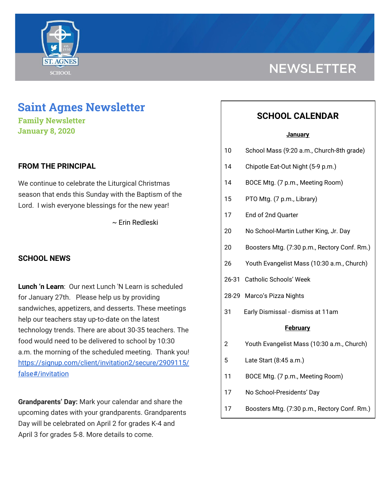

# **Saint Agnes Newsletter**

**Family Newsletter January 8, 2020**

## **FROM THE PRINCIPAL**

We continue to celebrate the Liturgical Christmas season that ends this Sunday with the Baptism of the Lord. I wish everyone blessings for the new year!

~ Erin Redleski

### **SCHOOL NEWS**

**Lunch 'n Learn**: Our next Lunch 'N Learn is scheduled for January 27th. Please help us by providing sandwiches, appetizers, and desserts. These meetings help our teachers stay up-to-date on the latest technology trends. There are about 30-35 teachers. The food would need to be delivered to school by 10:30 a.m. the morning of the scheduled meeting. Thank you! [https://signup.com/client/invitation2/secure/2909115/](https://signup.com/client/invitation2/secure/2909115/false#/invitation) [false#/invitation](https://signup.com/client/invitation2/secure/2909115/false#/invitation)

**Grandparents' Day:** Mark your calendar and share the upcoming dates with your grandparents. Grandparents Day will be celebrated on April 2 for grades K-4 and April 3 for grades 5-8. More details to come.

# **NEWSLETTER**

## **SCHOOL CALENDAR**

#### **January**

| 10 | School Mass (9:20 a.m., Church-8th grade) |  |
|----|-------------------------------------------|--|
|----|-------------------------------------------|--|

- 14 Chipotle Eat-Out Night (5-9 p.m.)
- 14 BOCE Mtg. (7 p.m., Meeting Room)
- 15 PTO Mtg. (7 p.m., Library)
- 17 End of 2nd Quarter
- 20 No School-Martin Luther King, Jr. Day
- 20 Boosters Mtg. (7:30 p.m., Rectory Conf. Rm.)
- 26 Youth Evangelist Mass (10:30 a.m., Church)
- 26-31 Catholic Schools' Week
- 28-29 Marco's Pizza Nights
- 31 Early Dismissal dismiss at 11am

#### **February**

- 2 Youth Evangelist Mass (10:30 a.m., Church)
- 5 Late Start (8:45 a.m.)
- 11 BOCE Mtg. (7 p.m., Meeting Room)
- 17 No School-Presidents' Day
- 17 Boosters Mtg. (7:30 p.m., Rectory Conf. Rm.)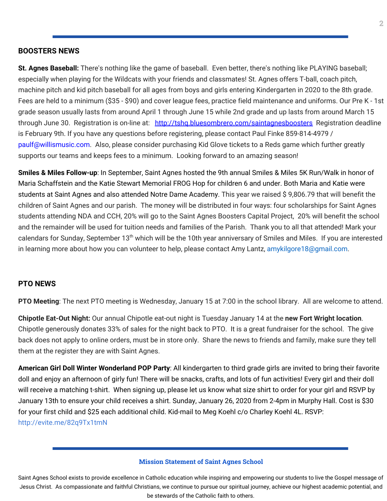#### **BOOSTERS NEWS**

**St. Agnes Baseball:** There's nothing like the game of baseball. Even better, there's nothing like PLAYING baseball; especially when playing for the Wildcats with your friends and classmates! St. Agnes offers T-ball, coach pitch, machine pitch and kid pitch baseball for all ages from boys and girls entering Kindergarten in 2020 to the 8th grade. Fees are held to a minimum (\$35 - \$90) and cover league fees, practice field maintenance and uniforms. Our Pre K - 1st grade season usually lasts from around April 1 through June 15 while 2nd grade and up lasts from around March 15 through June 30. Registration is on-line at: <http://tshq.bluesombrero.com/saintagnesboosters> Registration deadline is February 9th. If you have any questions before registering, please contact Paul Finke 859-814-4979 / paulf@willismusic.com. Also, please consider purchasing Kid Glove tickets to a Reds game which further greatly supports our teams and keeps fees to a minimum. Looking forward to an amazing season!

**Smiles & Miles Follow-up**: In September, Saint Agnes hosted the 9th annual Smiles & Miles 5K Run/Walk in honor of Maria Schaffstein and the Katie Stewart Memorial FROG Hop for children 6 and under. Both Maria and Katie were students at Saint Agnes and also attended Notre Dame Academy. This year we raised \$9,806.79 that will benefit the children of Saint Agnes and our parish. The money will be distributed in four ways: four scholarships for Saint Agnes students attending NDA and CCH, 20% will go to the Saint Agnes Boosters Capital Project, 20% will benefit the school and the remainder will be used for tuition needs and families of the Parish. Thank you to all that attended! Mark your calendars for Sunday, September 13<sup>th</sup> which will be the 10th year anniversary of Smiles and Miles. If you are interested in learning more about how you can volunteer to help, please contact Amy Lantz, amykilgore18@gmail.com.

#### **PTO NEWS**

**PTO Meeting**: The next PTO meeting is Wednesday, January 15 at 7:00 in the school library. All are welcome to attend.

**Chipotle Eat-Out Night:** Our annual Chipotle eat-out night is Tuesday January 14 at the **new Fort Wright location**. Chipotle generously donates 33% of sales for the night back to PTO. It is a great fundraiser for the school. The give back does not apply to online orders, must be in store only. Share the news to friends and family, make sure they tell them at the register they are with Saint Agnes.

**American Girl Doll Winter Wonderland POP Party**: All kindergarten to third grade girls are invited to bring their favorite doll and enjoy an afternoon of girly fun! There will be snacks, crafts, and lots of fun activities! Every girl and their doll will receive a matching t-shirt. When signing up, please let us know what size shirt to order for your girl and RSVP by January 13th to ensure your child receives a shirt. Sunday, January 26, 2020 from 2-4pm in Murphy Hall. Cost is \$30 for your first child and \$25 each additional child. Kid-mail to Meg Koehl c/o Charley Koehl 4L. RSVP[:](http://evite.me/82q9Tx1tmN) <http://evite.me/82q9Tx1tmN>

#### **Mission Statement of Saint Agnes School**

Saint Agnes School exists to provide excellence in Catholic education while inspiring and empowering our students to live the Gospel message of Jesus Christ. As compassionate and faithful Christians, we continue to pursue our spiritual journey, achieve our highest academic potential, and be stewards of the Catholic faith to others.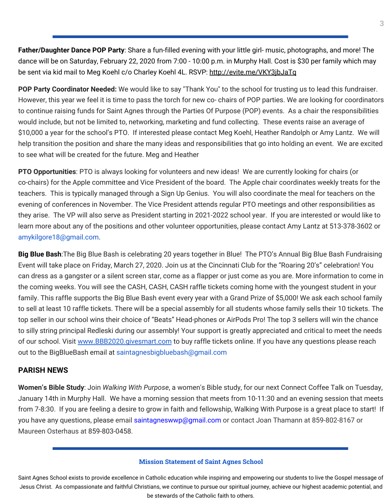**Father/Daughter Dance POP Party**: Share a fun-filled evening with your little girl- music, photographs, and more! The dance will be on Saturday, February 22, 2020 from 7:00 - 10:00 p.m. in Murphy Hall. Cost is \$30 per family which may be sent via kid mail to Meg Koehl c/o Charley Koehl 4L. RSVP[:](http://evite.me/VKY3jbJaTq) <http://evite.me/VKY3jbJaTq>

**POP Party Coordinator Needed:** We would like to say "Thank You" to the school for trusting us to lead this fundraiser. However, this year we feel it is time to pass the torch for new co- chairs of POP parties. We are looking for coordinators to continue raising funds for Saint Agnes through the Parties Of Purpose (POP) events. As a chair the responsibilities would include, but not be limited to, networking, marketing and fund collecting. These events raise an average of \$10,000 a year for the school's PTO. If interested please contact Meg Koehl, Heather Randolph or Amy Lantz. We will help transition the position and share the many ideas and responsibilities that go into holding an event. We are excited to see what will be created for the future. Meg and Heather

**PTO Opportunities**: PTO is always looking for volunteers and new ideas! We are currently looking for chairs (or co-chairs) for the Apple committee and Vice President of the board. The Apple chair coordinates weekly treats for the teachers. This is typically managed through a Sign Up Genius. You will also coordinate the meal for teachers on the evening of conferences in November. The Vice President attends regular PTO meetings and other responsibilities as they arise. The VP will also serve as President starting in 2021-2022 school year. If you are interested or would like to learn more about any of the positions and other volunteer opportunities, please contact Amy Lantz at 513-378-3602 or amykilgore18@gmail.com.

**Big Blue Bash**:The Big Blue Bash is celebrating 20 years together in Blue! The PTO's Annual Big Blue Bash Fundraising Event will take place on Friday, March 27, 2020. Join us at the Cincinnati Club for the "Roaring 20's" celebration! You can dress as a gangster or a silent screen star, come as a flapper or just come as you are. More information to come in the coming weeks. You will see the CASH, CASH, CASH raffle tickets coming home with the youngest student in your family. This raffle supports the Big Blue Bash event every year with a Grand Prize of \$5,000! We ask each school family to sell at least 10 raffle tickets. There will be a special assembly for all students whose family sells their 10 tickets. The top seller in our school wins their choice of "Beats" Head-phones or AirPods Pro! The top 3 sellers will win the chance to silly string principal Redleski during our assembly! Your support is greatly appreciated and critical to meet the needs of our school. Visit [www.BBB2020.givesmart.com](http://www.bbb2020.givesmart.com/) to buy raffle tickets online. If you have any questions please reach out to the BigBlueBash email at saintagnesbigbluebash@gmail.com

### **PARISH NEWS**

**Women's Bible Study**: Join *Walking With Purpose*, a women's Bible study, for our next Connect Coffee Talk on Tuesday, January 14th in Murphy Hall. We have a morning session that meets from 10-11:30 and an evening session that meets from 7-8:30. If you are feeling a desire to grow in faith and fellowship, Walking With Purpose is a great place to start! If you have any questions, please email saintagneswwp@gmail.com or contact Joan Thamann at 859-802-8167 or Maureen Osterhaus at 859-803-0458.

#### **Mission Statement of Saint Agnes School**

Saint Agnes School exists to provide excellence in Catholic education while inspiring and empowering our students to live the Gospel message of Jesus Christ. As compassionate and faithful Christians, we continue to pursue our spiritual journey, achieve our highest academic potential, and be stewards of the Catholic faith to others.